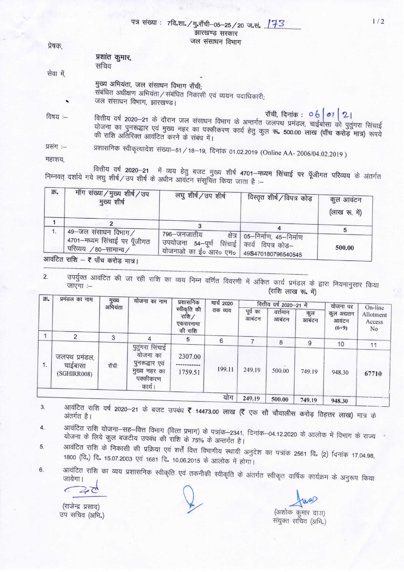|           | $14 \times 1041$ . $114.31$ $16$ $15$ $181$ $11-05-25/20$ $17.8$ $11/2$<br>झारखण्ड सरकार                                                                                                                                                                                             |  |
|-----------|--------------------------------------------------------------------------------------------------------------------------------------------------------------------------------------------------------------------------------------------------------------------------------------|--|
| प्रेषक,   | जल संसाधन विभाग                                                                                                                                                                                                                                                                      |  |
|           | प्रशांत कुमार,<br>सचिव                                                                                                                                                                                                                                                               |  |
| सेवा में, |                                                                                                                                                                                                                                                                                      |  |
|           | मुख्य अभियंता, जल संसाधन विभाग राँची;<br>संबंधित अधीक्षण अभियंता / संबंधित निकासी एवं व्ययन पदाधिकारी;<br>जल संसाधन विभाग, झारखण्ड।                                                                                                                                                  |  |
| विषय :—   | रॉची, दिनांक : 06 01   2<br>वित्तीय वर्ष 2020–21 के दौरान जल संसाधन विभाग के अन्तर्गत जलपथ प्रमंडल, चाईबासा को पुतुंगरा सिंचाई<br>योजना का पुनरूद्धार एवं मुख्य नहर का पक्कीकरण कार्य हेतु कुल रू. 500.00 लाख (पाँच करोड़ मात्र) रूपये<br>की राशि अतिरिक्त आवंटित करने के संबंध में। |  |
| प्रसंग :- | प्रशासनिक स्वीकृत्यादेश संख्या–51/18–19, दिनांक 01.02.2019 (Online AA- 2006/04.02.2019)                                                                                                                                                                                              |  |
| ਸਵਾਭਾਸ    |                                                                                                                                                                                                                                                                                      |  |

 $xixin$ 

वित्तीय वर्ष 2020–21 में व्यय हेतु बजट मुख्य शीर्ष 4701–मध्यम सिंचाई पर पूँजीगत परिव्यय के अंतर्गत निम्नवत् दर्शाये गये लघु शीर्ष/उप शीर्ष के अधीन आवंटन संसूचित किया जाता है :-

| क्र. | मॉंग संख्या/मुख्य शीर्ष/उप<br>मुख्य शीर्ष                 | लघु शीर्ष/उप शीर्ष                                                                      | विस्तृत शीर्ष / विपत्र कोड़                                    | कुल आवंटन<br>(लाख रू. में) |
|------|-----------------------------------------------------------|-----------------------------------------------------------------------------------------|----------------------------------------------------------------|----------------------------|
|      | 49-जल संसाधन विभाग/                                       |                                                                                         |                                                                |                            |
|      | 4701-मध्यम सिंचाई पर पूँजीगत<br>, परिव्यय  / 80–सामान्य / | 796—जनजातीय<br>उपयोजना 54–पूर्ण<br>, योजनाओ का ई० आर० एम०   49 <b>S</b> 470180796540545 | क्षेत्र   05–निर्माण, 45–निर्माण<br>सिंचाई   कार्य विपत्र कोड– | 500.00                     |

०राड मात्र

उपर्युक्त आवंटित की जा रही राशि का व्यय निम्न वर्णित विवरणी में अंकित कार्य प्रमंडल के द्वारा नियमानुसार किया 2. (राशि लाख रू. में)

| क्र. | प्रमंडल का नाम                          | मुख्य<br>अभियंता | योजना का नाम<br>प्रशासनिक                                                           |                                                 | मार्च 2020 | वित्तीय वर्ष 2020-21 में |                    |              | योजना पर                      | On-line                               |
|------|-----------------------------------------|------------------|-------------------------------------------------------------------------------------|-------------------------------------------------|------------|--------------------------|--------------------|--------------|-------------------------------|---------------------------------------|
|      |                                         |                  |                                                                                     | स्वीकृति की<br>राशि $/$<br>एकरारनामा<br>की राशि | तक व्यय    | पूर्व का<br>आबंटन        | वर्त्तमान<br>आबंटन | कुल<br>आबंटन | कुल अद्यतन<br>आवटन<br>$(6+9)$ | Allotment<br>Access<br>N <sub>o</sub> |
|      | 2                                       | 3                |                                                                                     | 5                                               | 6          |                          | 8                  | 9            |                               |                                       |
| 1.   | जलपथ प्रमंडल,<br>चाईबासा<br>(SGHIRR008) | राँची            | पुतुंगरा सिंचाई<br>योजना का<br>पुनरूद्धार एवं<br>मुख्य नहर का<br>पक्कीकरण<br>कार्य। | 2307.00<br>1759.51                              | 199.11     | 249.19                   | 500.00             | 749.19       | 10<br>948.30                  | 11<br>67710                           |
|      |                                         |                  |                                                                                     |                                                 | योग        | 249.19                   | 500.00             | 749.19       | 948.30                        |                                       |

आवंटित राशि वर्ष 2020-21 के बजट उपबंध ₹ 14473.00 लाख (₹ एक सौ चौवालीस करोड़ तिहत्तर लाख) मात्र के  $3.$ 

- आवंटित राशि योजना–सह–वित्त विभाग (वित्त प्रभाग) के पत्रांक–2341, दिनांक–04.12.2020 के आलोक में विभाग के राज्य  $4.$ योजना के लिये कुल बजटीय उपबंध की राशि के 75% के अन्तर्गत है।
- आवंटित राशि के निकासी की प्रक्रिया एवं शर्त्तें वित्त विभागीय स्थायी अनुदेश का पत्रांक 2561 वि. (2) दिनांक 17.04.98, 5. 1800 (वि.) दि. 15.07.2003 एवं 1681 दि. 10.06.2015 के आलोक में होगा।
- आवंटित राशि का व्यय प्रशासनिक स्वीकृति एवं तकनीकी स्वीकृति के अंतर्गत स्वीकृत वार्षिक कार्यक्रम के अनुरूप किया 6.

(राजेन्द्र प्रसाद) उप सचिव (अभि.)

 $1/2$ 

(अशोक कुमार दास) संयुक्त सचिव (अभि.)